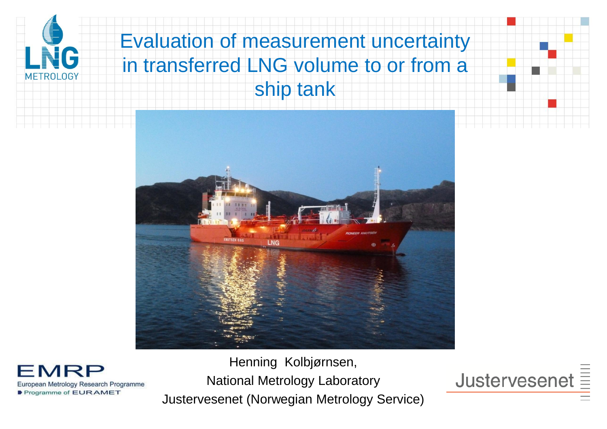

### Evaluation of measurement uncertainty in transferred LNG volume to or from a ship tank



**MRI** European Metrology Research Programme Programme of EURAMET

Henning Kolbjørnsen, National Metrology Laboratory Justervesenet (Norwegian Metrology Service)

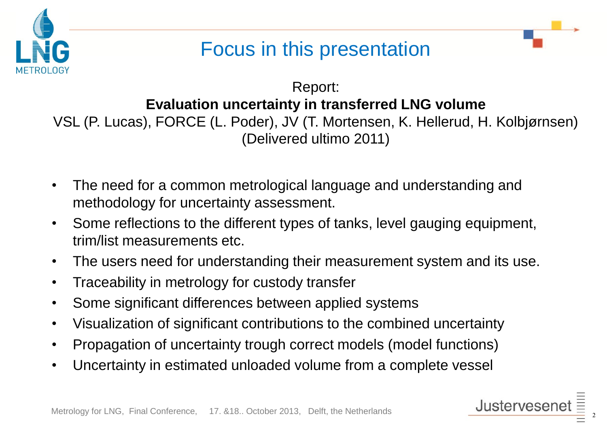

### Focus in this presentation

Report: **Evaluation uncertainty in transferred LNG volume** VSL (P. Lucas), FORCE (L. Poder), JV (T. Mortensen, K. Hellerud, H. Kolbjørnsen) (Delivered ultimo 2011)

- The need for a common metrological language and understanding and methodology for uncertainty assessment.
- Some reflections to the different types of tanks, level gauging equipment, trim/list measurements etc.
- The users need for understanding their measurement system and its use.
- Traceability in metrology for custody transfer
- Some significant differences between applied systems
- Visualization of significant contributions to the combined uncertainty
- Propagation of uncertainty trough correct models (model functions)
- Uncertainty in estimated unloaded volume from a complete vessel

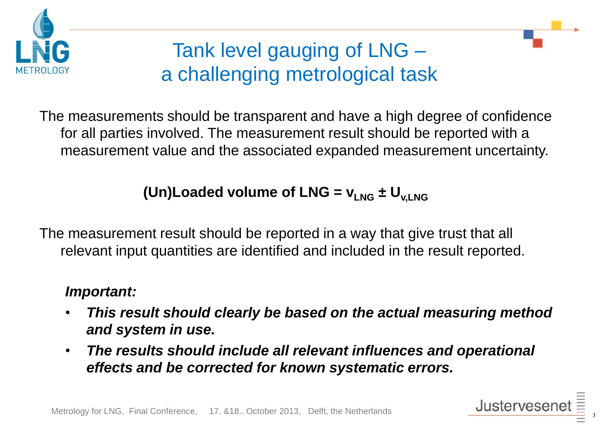

# Tank level gauging of LNG – a challenging metrological task

The measurements should be transparent and have a high degree of confidence for all parties involved. The measurement result should be reported with a measurement value and the associated expanded measurement uncertainty.

#### **(Un)Loaded volume of LNG =**  $v_{LNG} \pm U_{V,LNG}$

The measurement result should be reported in a way that give trust that all relevant input quantities are identified and included in the result reported.

#### *Important:*

- *This result should clearly be based on the actual measuring method and system in use.*
- *The results should include all relevant influences and operational effects and be corrected for known systematic errors.*

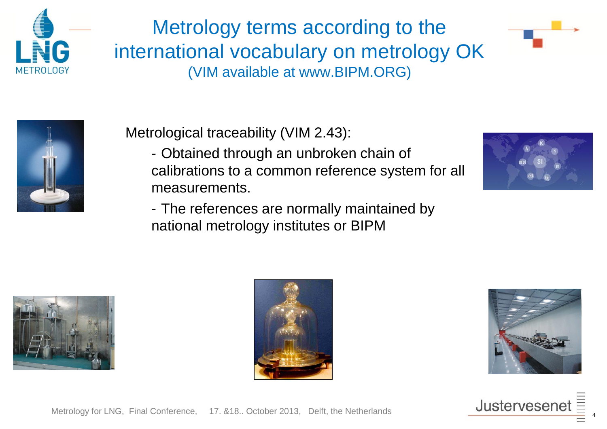

Metrology terms according to the international vocabulary on metrology OK (VIM available at www.BIPM.ORG)





Metrological traceability (VIM 2.43):

- Obtained through an unbroken chain of calibrations to a common reference system for all measurements.
- The references are normally maintained by national metrology institutes or BIPM









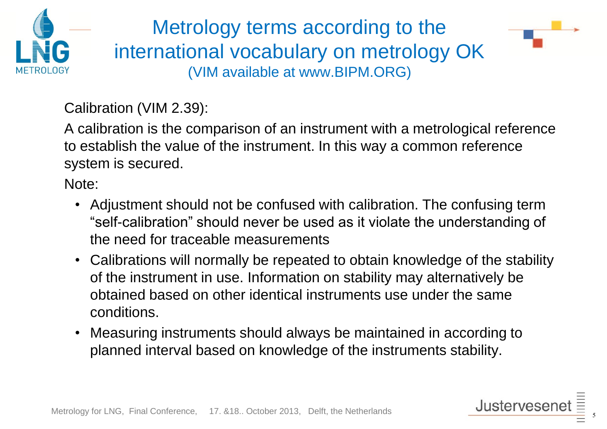

Metrology terms according to the international vocabulary on metrology OK (VIM available at www.BIPM.ORG)



Calibration (VIM 2.39):

A calibration is the comparison of an instrument with a metrological reference to establish the value of the instrument. In this way a common reference system is secured.

Note:

- Adjustment should not be confused with calibration. The confusing term "self-calibration" should never be used as it violate the understanding of the need for traceable measurements
- Calibrations will normally be repeated to obtain knowledge of the stability of the instrument in use. Information on stability may alternatively be obtained based on other identical instruments use under the same conditions.
- Measuring instruments should always be maintained in according to planned interval based on knowledge of the instruments stability.

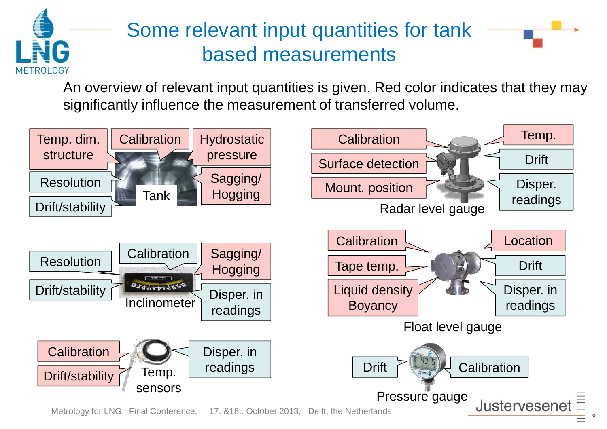

## Some relevant input quantities for tank based measurements



An overview of relevant input quantities is given. Red color indicates that they may significantly influence the measurement of transferred volume.

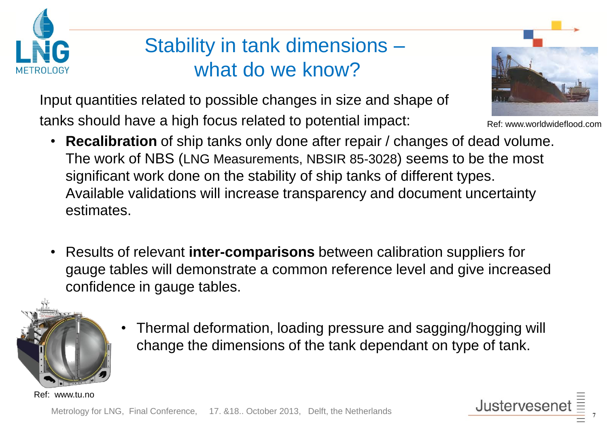

### Stability in tank dimensions – what do we know?

Input quantities related to possible changes in size and shape of tanks should have a high focus related to potential impact:



Ref: www.worldwideflood.com

- **Recalibration** of ship tanks only done after repair / changes of dead volume. The work of NBS (LNG Measurements, NBSIR 85-3028) seems to be the most significant work done on the stability of ship tanks of different types. Available validations will increase transparency and document uncertainty estimates.
- Results of relevant **inter-comparisons** between calibration suppliers for gauge tables will demonstrate a common reference level and give increased confidence in gauge tables.



• Thermal deformation, loading pressure and sagging/hogging will change the dimensions of the tank dependant on type of tank.

[Ref: www.tu.no](http://www.google.no/url?sa=i&rct=j&q=&esrc=s&frm=1&source=images&cd=&cad=rja&docid=-BPzvDpY1XDlhM&tbnid=gnHolY0i1-wxKM:&ved=0CAUQjRw&url=http%3A%2F%2Fwww.tu.no%2Folje-gass%2Farticle131604.ece&ei=tVU8UpnfJeOg4gThzID4Cg&psig=AFQjCNH7pu65kTyEWETIBj_6EI-W7LW7nQ&ust=1379765049934490)

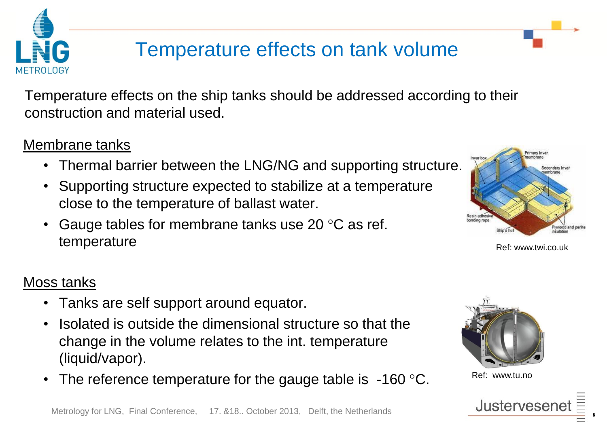

### Temperature effects on tank volume

Temperature effects on the ship tanks should be addressed according to their construction and material used.

#### Membrane tanks

- Thermal barrier between the LNG/NG and supporting structure.
- Supporting structure expected to stabilize at a temperature close to the temperature of ballast water.
- Gauge tables for membrane tanks use 20 $\degree$ C as ref. temperature



Ref: www.twi.co.uk

#### Moss tanks

- Tanks are self support around equator.
- Isolated is outside the dimensional structure so that the change in the volume relates to the int. temperature (liquid/vapor).
- The reference temperature for the gauge table is  $-160$  °C.



[Ref: www.tu.no](http://www.google.no/url?sa=i&rct=j&q=&esrc=s&frm=1&source=images&cd=&cad=rja&docid=-BPzvDpY1XDlhM&tbnid=gnHolY0i1-wxKM:&ved=0CAUQjRw&url=http%3A%2F%2Fwww.tu.no%2Folje-gass%2Farticle131604.ece&ei=tVU8UpnfJeOg4gThzID4Cg&psig=AFQjCNH7pu65kTyEWETIBj_6EI-W7LW7nQ&ust=1379765049934490)

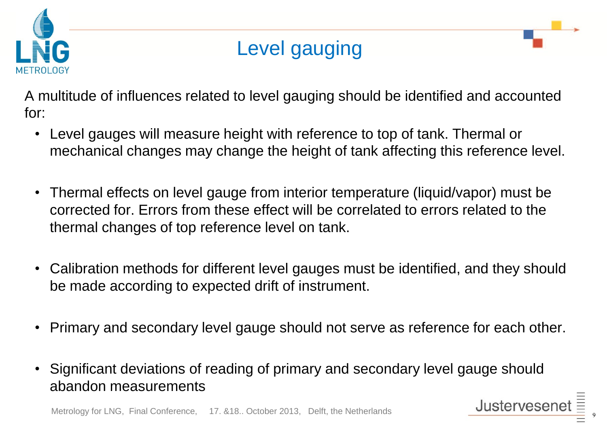

#### Level gauging

A multitude of influences related to level gauging should be identified and accounted for:

- Level gauges will measure height with reference to top of tank. Thermal or mechanical changes may change the height of tank affecting this reference level.
- Thermal effects on level gauge from interior temperature (liquid/vapor) must be corrected for. Errors from these effect will be correlated to errors related to the thermal changes of top reference level on tank.
- Calibration methods for different level gauges must be identified, and they should be made according to expected drift of instrument.
- Primary and secondary level gauge should not serve as reference for each other.
- Significant deviations of reading of primary and secondary level gauge should abandon measurements

Justerveser

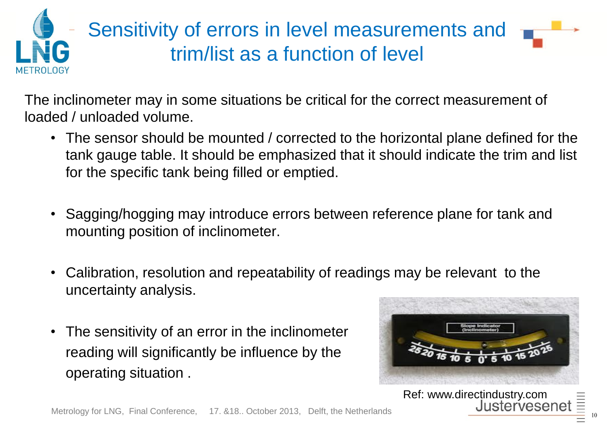

# Sensitivity of errors in level measurements and trim/list as a function of level

The inclinometer may in some situations be critical for the correct measurement of loaded / unloaded volume.

- The sensor should be mounted / corrected to the horizontal plane defined for the tank gauge table. It should be emphasized that it should indicate the trim and list for the specific tank being filled or emptied.
- Sagging/hogging may introduce errors between reference plane for tank and mounting position of inclinometer.
- Calibration, resolution and repeatability of readings may be relevant to the uncertainty analysis.
- The sensitivity of an error in the inclinometer reading will significantly be influence by the operating situation .



Ref: www.directindustry.com

Justervesen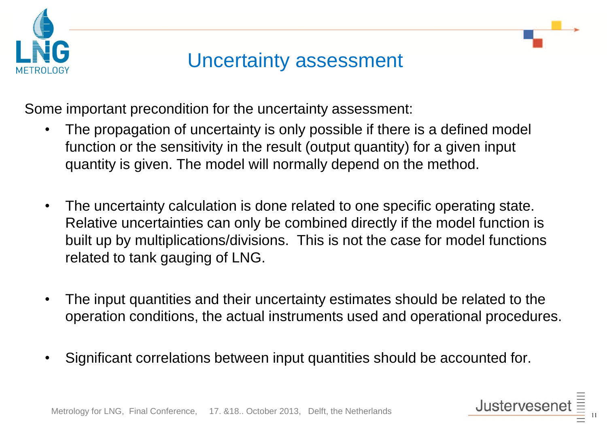



Some important precondition for the uncertainty assessment:

- The propagation of uncertainty is only possible if there is a defined model function or the sensitivity in the result (output quantity) for a given input quantity is given. The model will normally depend on the method.
- The uncertainty calculation is done related to one specific operating state. Relative uncertainties can only be combined directly if the model function is built up by multiplications/divisions. This is not the case for model functions related to tank gauging of LNG.
- The input quantities and their uncertainty estimates should be related to the operation conditions, the actual instruments used and operational procedures.
- Significant correlations between input quantities should be accounted for.

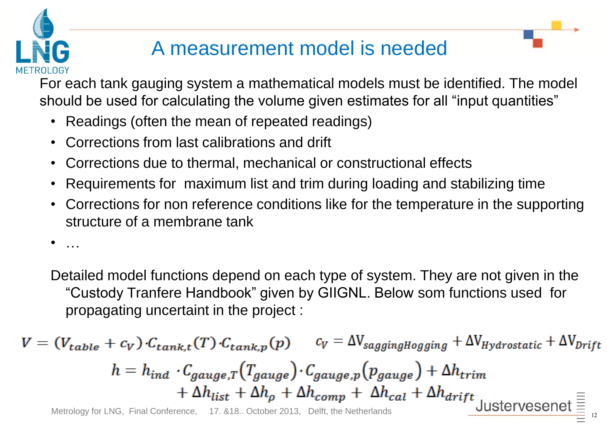# A measurement model is needed

For each tank gauging system a mathematical models must be identified. The model should be used for calculating the volume given estimates for all "input quantities"

- Readings (often the mean of repeated readings)
- Corrections from last calibrations and drift
- Corrections due to thermal, mechanical or constructional effects
- Requirements for maximum list and trim during loading and stabilizing time
- Corrections for non reference conditions like for the temperature in the supporting structure of a membrane tank

• …

Detailed model functions depend on each type of system. They are not given in the "Custody Tranfere Handbook" given by GIIGNL. Below som functions used for propagating uncertaint in the project :

$$
V = (V_{table} + c_V) \cdot C_{tank,t}(T) \cdot C_{tank,p}(p) \qquad c_V = \Delta V_{saggingHogging} + \Delta V_{Hydrostatic} + \Delta V_{Drift}
$$
\n
$$
h = h_{ind} \cdot C_{gauge,T}(T_{gauge}) \cdot C_{gauge,p}(p_{gauge}) + \Delta h_{trim}
$$
\n
$$
+ \Delta h_{list} + \Delta h_{\rho} + \Delta h_{comp} + \Delta h_{cal} + \Delta h_{drift}
$$
\n
$$
\text{Metrology for LNG, Final Conference, } 17. 818. October 2013, Delft, the Netherlands
$$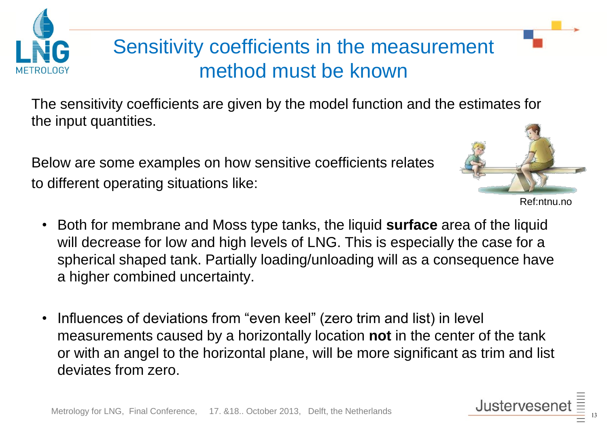# Sensitivity coefficients in the measurement method must be known

The sensitivity coefficients are given by the model function and the estimates for the input quantities.

Below are some examples on how sensitive coefficients relates to different operating situations like:



Ref:ntnu.no

- Both for membrane and Moss type tanks, the liquid **surface** area of the liquid will decrease for low and high levels of LNG. This is especially the case for a spherical shaped tank. Partially loading/unloading will as a consequence have a higher combined uncertainty.
- Influences of deviations from "even keel" (zero trim and list) in level measurements caused by a horizontally location **not** in the center of the tank or with an angel to the horizontal plane, will be more significant as trim and list deviates from zero.

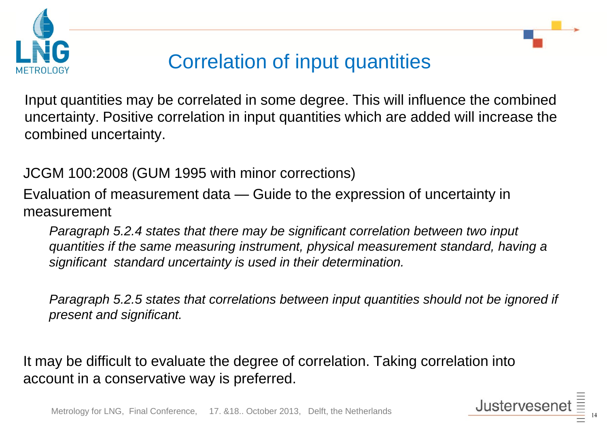



## Correlation of input quantities

Input quantities may be correlated in some degree. This will influence the combined uncertainty. Positive correlation in input quantities which are added will increase the combined uncertainty.

JCGM 100:2008 (GUM 1995 with minor corrections)

Evaluation of measurement data — Guide to the expression of uncertainty in measurement

*Paragraph 5.2.4 states that there may be significant correlation between two input quantities if the same measuring instrument, physical measurement standard, having a significant standard uncertainty is used in their determination.*

*Paragraph 5.2.5 states that correlations between input quantities should not be ignored if present and significant.* 

It may be difficult to evaluate the degree of correlation. Taking correlation into account in a conservative way is preferred.

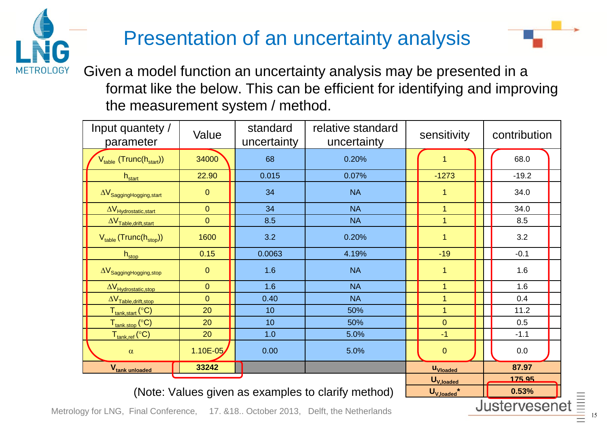# Presentation of an uncertainty analysis



Given a model function an uncertainty analysis may be presented in a format like the below. This can be efficient for identifying and improving the measurement system / method.

| Input quantety /<br>parameter                                    | Value                                              | relative standard<br>standard<br>uncertainty<br>uncertainty |           | sensitivity      | contribution |  |  |  |
|------------------------------------------------------------------|----------------------------------------------------|-------------------------------------------------------------|-----------|------------------|--------------|--|--|--|
| V <sub>table</sub> (Trunc(h <sub>start</sub> ))                  | 34000                                              | 68                                                          | 0.20%     | 1                | 68.0         |  |  |  |
| $h_{start}$                                                      | 22.90                                              | 0.015                                                       | 0.07%     | $-1273$          | $-19.2$      |  |  |  |
| $\Delta V_{Sagger Hogging$                                       | $\mathbf 0$                                        | 34                                                          | <b>NA</b> | 1                | 34.0         |  |  |  |
| $\Delta V_{\text{Hydrostatic,start}}$                            | $\overline{0}$                                     | 34                                                          | <b>NA</b> | $\mathbf{1}$     | 34.0         |  |  |  |
| $\Delta V_{\text{Table},\text{drift},\text{start}}$              | $\overline{0}$                                     | 8.5                                                         | <b>NA</b> | $\overline{1}$   | 8.5          |  |  |  |
| $V_{table}$ (Trunc( $h_{stop}$ ))                                | 1600                                               | 3.2                                                         | 0.20%     | $\overline{1}$   | 3.2          |  |  |  |
| $h_{stop}$                                                       | 0.15                                               | 0.0063                                                      | 4.19%     | $-19$            | $-0.1$       |  |  |  |
| $\Delta V_{Sagging Hogging, stop}$                               | $\overline{0}$                                     | 1.6                                                         | <b>NA</b> | 1                | 1.6          |  |  |  |
| $\Delta V_{\text{Hydrostatic,stop}}$                             | $\overline{0}$                                     | 1.6                                                         | <b>NA</b> | $\mathbf 1$      | 1.6          |  |  |  |
| $\Delta V_{\text{Table,drift,stop}}$                             | $\overline{0}$                                     | 0.40                                                        | <b>NA</b> | $\overline{1}$   | 0.4          |  |  |  |
| T <sub>tank,start</sub> (°C)                                     | 20                                                 | 10 <sup>1</sup>                                             | 50%       | $\overline{1}$   | 11.2         |  |  |  |
| $\mathsf{T}_{\textsf{rank}.\textsf{stop}}\,(\mathrm{^{\circ}C})$ | 20                                                 | 10                                                          | 50%       | $\mathbf{0}$     | 0.5          |  |  |  |
| T <sub>tank,ref</sub> (°C) <sub>.</sub>                          | 20                                                 | 1.0                                                         | 5.0%      | $-1$             | $-1.1$       |  |  |  |
| $\alpha$                                                         | $1.10E - 05$                                       | 0.00                                                        | 5.0%      | $\pmb{0}$        | 0.0          |  |  |  |
| V <sub>tank</sub> unloaded                                       | 33242                                              |                                                             |           | <b>U</b> Vloaded | 87.97        |  |  |  |
|                                                                  |                                                    | $U_{V, loaded}$                                             | 175.95    |                  |              |  |  |  |
|                                                                  | (Note: Values given as examples to clarify method) | $U_{\text{V}}$ loaded $*$                                   | 0.53%     |                  |              |  |  |  |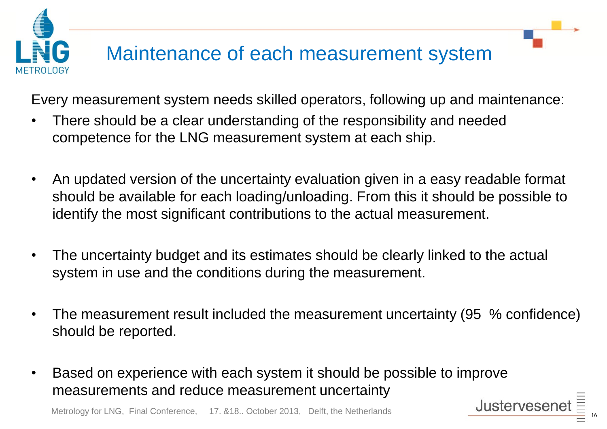# Maintenance of each measurement system

Every measurement system needs skilled operators, following up and maintenance:

- There should be a clear understanding of the responsibility and needed competence for the LNG measurement system at each ship.
- An updated version of the uncertainty evaluation given in a easy readable format should be available for each loading/unloading. From this it should be possible to identify the most significant contributions to the actual measurement.
- The uncertainty budget and its estimates should be clearly linked to the actual system in use and the conditions during the measurement.
- The measurement result included the measurement uncertainty (95 % confidence) should be reported.
- Based on experience with each system it should be possible to improve measurements and reduce measurement uncertainty

Metrology for LNG, Final Conference, 17. &18.. October 2013, Delft, the Netherlands

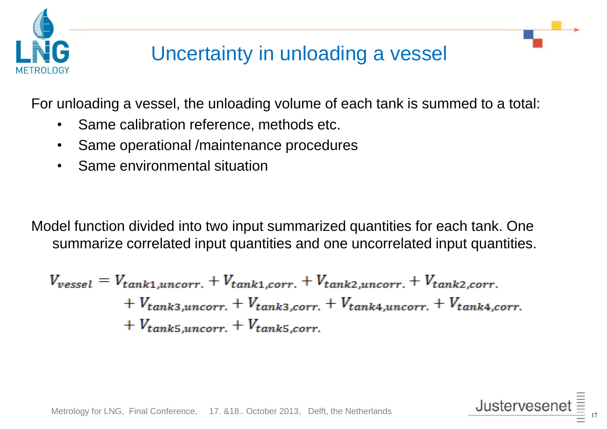

## Uncertainty in unloading a vessel

For unloading a vessel, the unloading volume of each tank is summed to a total:

- Same calibration reference, methods etc.
- Same operational /maintenance procedures
- Same environmental situation

Model function divided into two input summarized quantities for each tank. One summarize correlated input quantities and one uncorrelated input quantities.

$$
V_{vessel} = V_{tank1,uncorr.} + V_{tank1,corr.} + V_{tank2,uncorr.} + V_{tank2,corr.} + V_{tank3,uncorr.} + V_{tank3,uncorr.} + V_{tank4,uncorr.} + V_{tank5,uncorr.} + V_{tank5,uncorr.} + V_{tank5,corr.}
$$

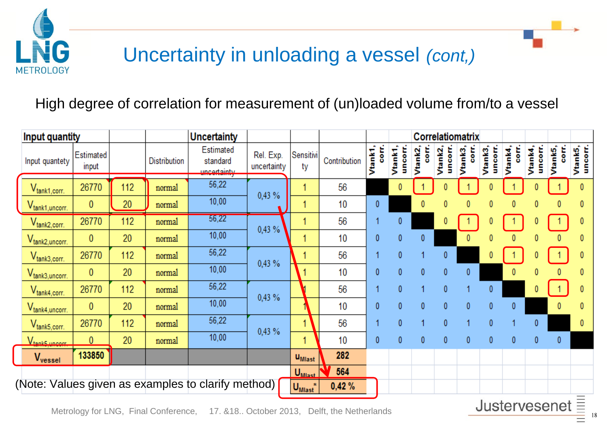

## Uncertainty in unloading a vessel *(cont,)*

#### High degree of correlation for measurement of (un)loaded volume from/to a vessel

| <b>Input quantity</b>                                                                                 |                    |     |                     | <b>Uncertainty</b>                                 |                          |                           |              | Correlatiomatrix   |                  |              |                  |                  |                  |              |                    |                    |                    |
|-------------------------------------------------------------------------------------------------------|--------------------|-----|---------------------|----------------------------------------------------|--------------------------|---------------------------|--------------|--------------------|------------------|--------------|------------------|------------------|------------------|--------------|--------------------|--------------------|--------------------|
| Input quantety                                                                                        | Estimated<br>input |     | <b>Distribution</b> | Estimated<br>standard<br><u>uncortaintu</u>        | Rel. Exp.<br>uncertainty | Sensitivi<br>ty           | Contribution | Vtank1,<br>ti<br>8 | uncorr<br>Vtank1 | 등<br>Vtank2  | uncorr<br>Vtank2 | E<br>8<br>Vtank3 | uncorr<br>Vtank3 | Vtank4,<br>Š | Vtank4,<br>uncorr. | Vtank5,<br>ti<br>8 | uncoff.<br>Vtank5, |
| $V_{\text{tank1,corr.}}$                                                                              | 26770              | 112 | normal              | 56,22                                              | 0,43 %                   |                           | 56           |                    | 0                |              |                  |                  |                  |              |                    |                    |                    |
| $V_{\text{tank1},\text{uncorr.}}$                                                                     | 0                  | 20  | normal              | 10,00                                              |                          |                           | 10           | 0                  |                  | 0            | 0                | 0                | 0                | 0            | 0                  | 0                  |                    |
| $V_{tan k2, corr.}$                                                                                   | 26770              | 112 | normal              | 56,22                                              | 0,43%                    |                           | 56           |                    | $\mathbf{0}$     |              | 0                |                  |                  |              |                    |                    |                    |
| V <sub>tank2, uncorr.</sub>                                                                           | $\mathbf{0}$       | 20  | normal              | 10,00                                              |                          |                           | 10           | 0                  | 0                | 0            |                  | 0                | 0                | 0            | 0                  | $\mathbf{0}$       |                    |
| $V_{\text{tank3,corr.}}$                                                                              | 26770              | 112 | normal              | 56,22                                              | 0,43 %                   |                           | 56           |                    | 0                |              | 0                |                  |                  |              |                    |                    |                    |
| $V_{\text{tank3},\text{uncorr.}}$                                                                     | $\mathbf{0}$       | 20  | normal              | 10,00                                              |                          |                           | 10           | 0                  | $\mathbf{0}$     | 0            | 0                | 0                |                  | 0            | 0                  | $\bf{0}$           |                    |
| $V_{\text{tank4,corr.}}$                                                                              | 26770              | 112 | normal              | 56,22                                              | 0,43%                    |                           | 56           |                    | 0                | 1            | $\mathbf{0}$     |                  | 0                |              | 0                  |                    |                    |
| V <sub>tank4, uncorr.</sub>                                                                           | $\mathbf{0}$       | 20  | normal              | 10,00                                              |                          |                           | 10           | 0                  | $\mathbf{0}$     | $\mathbf{0}$ | 0                | 0                | $\mathbf{0}$     | 0            |                    | 0                  |                    |
| $V_{\text{tank5, corr.}}$                                                                             | 26770              | 112 | normal              | 56,22                                              | 0,43 %                   |                           | 56           |                    | 0                |              | 0                |                  | 0                |              | 0                  |                    | 0                  |
| $V_{tank5, uncorr}$                                                                                   | $\mathbf{0}$       | 20  | normal              | 10,00                                              |                          |                           | 10           | 0                  | $\mathbf{0}$     | 0            | $\mathbf{0}$     | $\mathbf{0}$     | $\mathbf{0}$     | $\mathbf{0}$ | $\mathbf{0}$       | $\boldsymbol{0}$   |                    |
| V <sub>vessel</sub>                                                                                   | 133850             |     |                     |                                                    |                          | <b>U</b> <sub>Mlast</sub> | 282          |                    |                  |              |                  |                  |                  |              |                    |                    |                    |
|                                                                                                       |                    |     |                     | (Note: Values given as examples to clarify method) |                          | $UMlast$<br>$U_{Mlast}$   | 564<br>0,42% |                    |                  |              |                  |                  |                  |              |                    |                    |                    |
| Ξ<br>Justervesenet<br>Motrology for LNO Einel Conference 47 040 October 2012<br>Dolft the Netherlands |                    |     |                     |                                                    |                          |                           |              |                    |                  |              |                  |                  |                  |              |                    |                    |                    |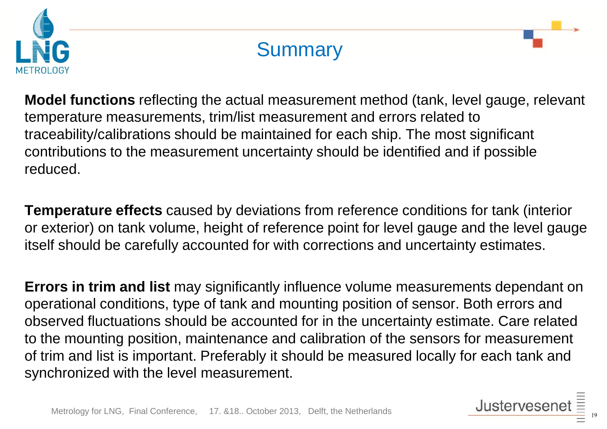

#### **Summary**

**Model functions** reflecting the actual measurement method (tank, level gauge, relevant temperature measurements, trim/list measurement and errors related to traceability/calibrations should be maintained for each ship. The most significant contributions to the measurement uncertainty should be identified and if possible reduced.

**Temperature effects** caused by deviations from reference conditions for tank (interior or exterior) on tank volume, height of reference point for level gauge and the level gauge itself should be carefully accounted for with corrections and uncertainty estimates.

**Errors in trim and list** may significantly influence volume measurements dependant on operational conditions, type of tank and mounting position of sensor. Both errors and observed fluctuations should be accounted for in the uncertainty estimate. Care related to the mounting position, maintenance and calibration of the sensors for measurement of trim and list is important. Preferably it should be measured locally for each tank and synchronized with the level measurement.

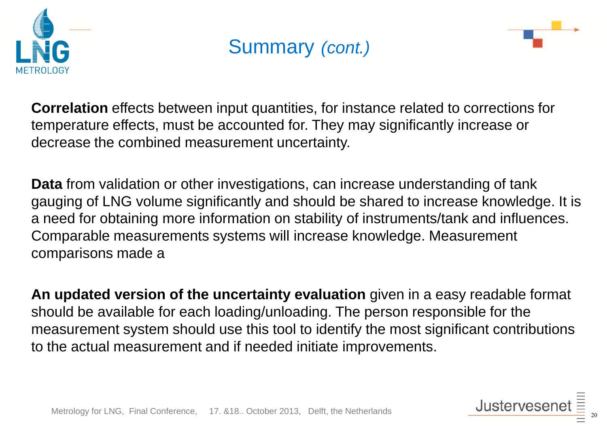

### Summary *(cont.)*



**Correlation** effects between input quantities, for instance related to corrections for temperature effects, must be accounted for. They may significantly increase or decrease the combined measurement uncertainty.

**Data** from validation or other investigations, can increase understanding of tank gauging of LNG volume significantly and should be shared to increase knowledge. It is a need for obtaining more information on stability of instruments/tank and influences. Comparable measurements systems will increase knowledge. Measurement comparisons made a

**An updated version of the uncertainty evaluation** given in a easy readable format should be available for each loading/unloading. The person responsible for the measurement system should use this tool to identify the most significant contributions to the actual measurement and if needed initiate improvements.

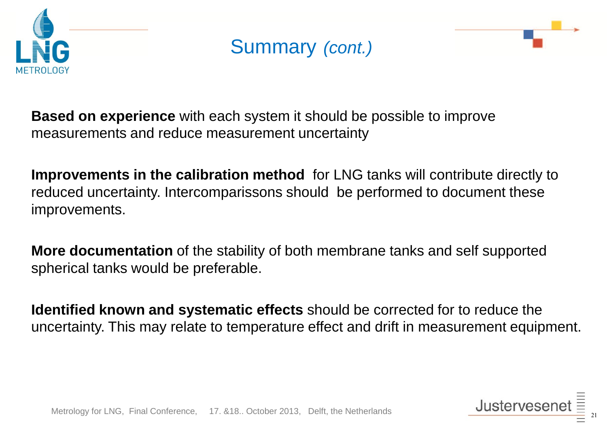

#### Summary *(cont.)*



**Based on experience** with each system it should be possible to improve measurements and reduce measurement uncertainty

**Improvements in the calibration method** for LNG tanks will contribute directly to reduced uncertainty. Intercomparissons should be performed to document these improvements.

**More documentation** of the stability of both membrane tanks and self supported spherical tanks would be preferable.

**Identified known and systematic effects** should be corrected for to reduce the uncertainty. This may relate to temperature effect and drift in measurement equipment.